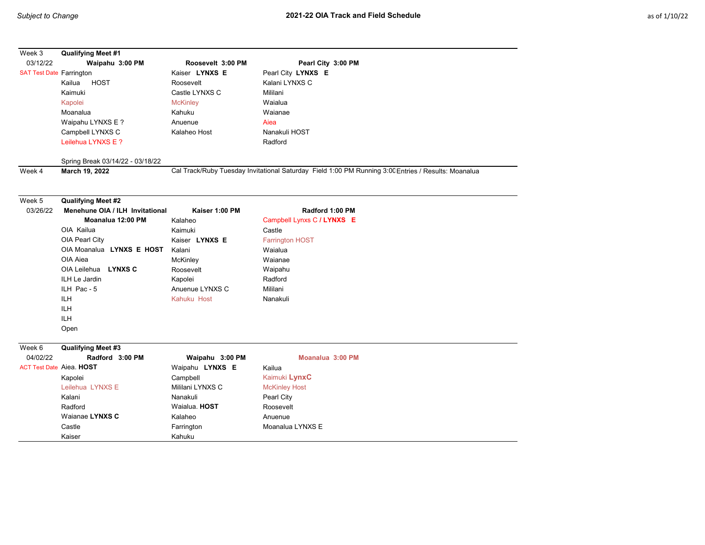| Week 3                          | Qualifying Meet #1                                           |                                                      |                                                                                                     |      |         |
|---------------------------------|--------------------------------------------------------------|------------------------------------------------------|-----------------------------------------------------------------------------------------------------|------|---------|
| 03/12/22                        | Waipahu 3:00 PM                                              | Roosevelt 3:00 PM                                    | Pearl City 3:00 PM                                                                                  |      |         |
| <b>SAT Test Date Farrington</b> |                                                              | Kaiser LYNXS E                                       | Pearl City LYNXS E                                                                                  |      |         |
|                                 | <b>HOST</b><br>Kailua                                        | Roosevelt                                            | Kalani LYNXS C                                                                                      |      |         |
|                                 | Kaimuki                                                      | Castle LYNXS C                                       | Mililani                                                                                            |      |         |
|                                 | Kapolei<br>Moanalua<br>Waipahu LYNXS E ?<br>Campbell LYNXS C | <b>McKinley</b><br>Kahuku<br>Anuenue<br>Kalaheo Host | Waialua<br>Waianae                                                                                  |      |         |
|                                 |                                                              |                                                      |                                                                                                     | Aiea |         |
|                                 |                                                              |                                                      | Nanakuli HOST                                                                                       |      |         |
|                                 |                                                              |                                                      | Leilehua LYNXS E ?                                                                                  |      | Radford |
|                                 | Spring Break 03/14/22 - 03/18/22                             |                                                      |                                                                                                     |      |         |
|                                 | Week 4                                                       | March 19, 2022                                       | Cal Track/Ruby Tuesday Invitational Saturday Field 1:00 PM Running 3:00 Entries / Results: Moanalua |      |         |
|                                 |                                                              |                                                      |                                                                                                     |      |         |
| Week 5                          | <b>Qualifying Meet #2</b>                                    |                                                      |                                                                                                     |      |         |
| 03/26/22                        | Menehune OIA / ILH Invitational                              | Kaiser 1:00 PM                                       | Radford 1:00 PM                                                                                     |      |         |
|                                 | Moanalua 12:00 PM                                            | Kalaheo                                              | Campbell Lynxs C / LYNXS E                                                                          |      |         |
|                                 | OIA Kailua                                                   | Kaimuki                                              | Castle                                                                                              |      |         |
|                                 | OIA Pearl City                                               | Kaiser LYNXS E                                       | <b>Farrington HOST</b>                                                                              |      |         |
|                                 | OIA Moanalua LYNXS E HOST                                    | Kalani                                               | Waialua                                                                                             |      |         |
|                                 | OIA Aiea                                                     | McKinley                                             | Waianae                                                                                             |      |         |
|                                 | OIA Leilehua LYNXS C                                         | Roosevelt                                            | Waipahu                                                                                             |      |         |
|                                 | ILH Le Jardin                                                | Kapolei                                              | Radford                                                                                             |      |         |
|                                 | ILH Pac - 5                                                  | Anuenue LYNXS C                                      | Mililani                                                                                            |      |         |
|                                 | ILH                                                          | Kahuku Host                                          | Nanakuli                                                                                            |      |         |
|                                 | <b>ILH</b>                                                   |                                                      |                                                                                                     |      |         |
|                                 | <b>ILH</b>                                                   |                                                      |                                                                                                     |      |         |
|                                 | Open                                                         |                                                      |                                                                                                     |      |         |
| Week 6                          | <b>Qualifying Meet #3</b>                                    |                                                      |                                                                                                     |      |         |
| 04/02/22                        | Radford 3:00 PM                                              | Waipahu 3:00 PM                                      | Moanalua 3:00 PM                                                                                    |      |         |
| <b>ACT Test Date Aiea. HOST</b> |                                                              | Waipahu LYNXS E                                      | Kailua                                                                                              |      |         |
|                                 | Kapolei                                                      | Campbell                                             | Kaimuki LynxC                                                                                       |      |         |
|                                 | Leilehua LYNXS E                                             | Mililani LYNXS C                                     | <b>McKinley Host</b>                                                                                |      |         |
|                                 | Kalani                                                       | Nanakuli                                             | Pearl City                                                                                          |      |         |
|                                 | Radford                                                      | Waialua. HOST                                        | Roosevelt                                                                                           |      |         |
|                                 | Waianae LYNXS C                                              | Kalaheo                                              | Anuenue                                                                                             |      |         |
|                                 | Castle                                                       | Farrington                                           | Moanalua LYNXS E                                                                                    |      |         |
|                                 | Kaiser                                                       | Kahuku                                               |                                                                                                     |      |         |